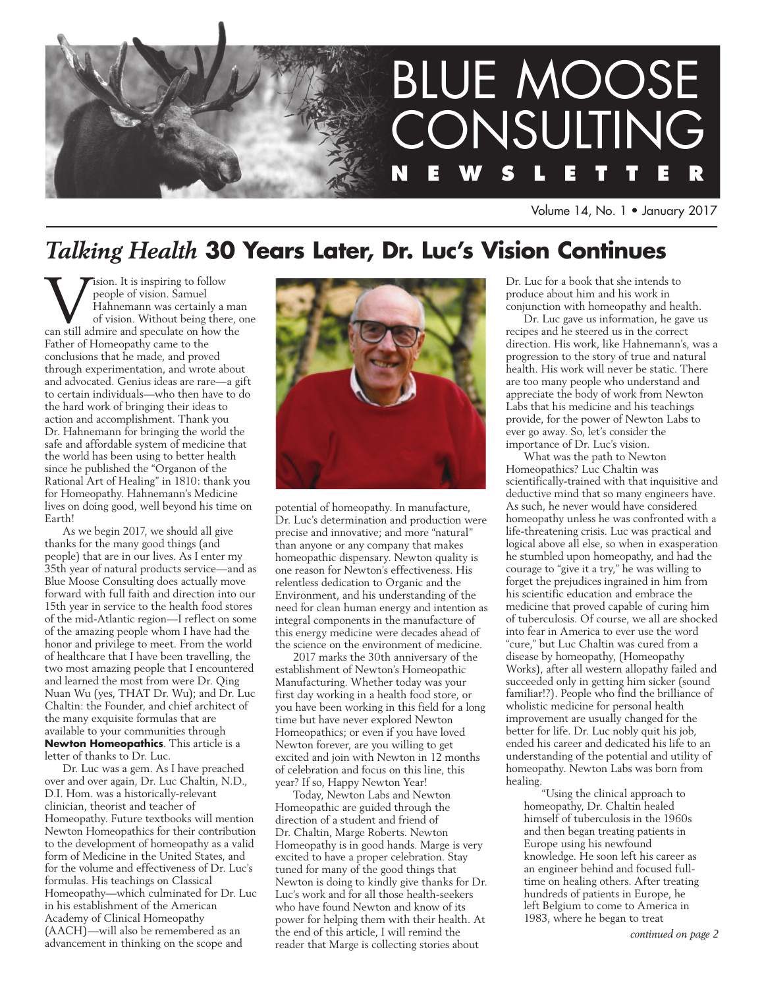

Volume 14, No. 1 • January 2017

# *Talking Health* **30 Years Later, Dr. Luc's Vision Continues**

**VEX** is inspiring to follow<br>
people of vision. Samuel<br>
of vision. Without being there, c<br>
can still admire and speculate on how the people of vision. Samuel Hahnemann was certainly a man of vision. Without being there, one Father of Homeopathy came to the conclusions that he made, and proved through experimentation, and wrote about and advocated. Genius ideas are rare—a gift to certain individuals—who then have to do the hard work of bringing their ideas to action and accomplishment. Thank you Dr. Hahnemann for bringing the world the safe and affordable system of medicine that the world has been using to better health since he published the "Organon of the Rational Art of Healing" in 1810: thank you for Homeopathy. Hahnemann's Medicine lives on doing good, well beyond his time on Earth!

As we begin 2017, we should all give thanks for the many good things (and people) that are in our lives. As I enter my 35th year of natural products service—and as Blue Moose Consulting does actually move forward with full faith and direction into our 15th year in service to the health food stores of the mid-Atlantic region—I reflect on some of the amazing people whom I have had the honor and privilege to meet. From the world of healthcare that I have been travelling, the two most amazing people that I encountered and learned the most from were Dr. Qing Nuan Wu (yes, THAT Dr. Wu); and Dr. Luc Chaltin: the Founder, and chief architect of the many exquisite formulas that are available to your communities through **Newton Homeopathics**. This article is a letter of thanks to Dr. Luc.

Dr. Luc was a gem. As I have preached over and over again, Dr. Luc Chaltin, N.D., D.I. Hom. was a historically-relevant clinician, theorist and teacher of Homeopathy. Future textbooks will mention Newton Homeopathics for their contribution to the development of homeopathy as a valid form of Medicine in the United States, and for the volume and effectiveness of Dr. Luc's formulas. His teachings on Classical Homeopathy—which culminated for Dr. Luc in his establishment of the American Academy of Clinical Homeopathy (AACH)—will also be remembered as an advancement in thinking on the scope and



potential of homeopathy. In manufacture, Dr. Luc's determination and production were precise and innovative; and more "natural" than anyone or any company that makes homeopathic dispensary. Newton quality is one reason for Newton's effectiveness. His relentless dedication to Organic and the Environment, and his understanding of the need for clean human energy and intention as integral components in the manufacture of this energy medicine were decades ahead of the science on the environment of medicine.

2017 marks the 30th anniversary of the establishment of Newton's Homeopathic Manufacturing. Whether today was your first day working in a health food store, or you have been working in this field for a long time but have never explored Newton Homeopathics; or even if you have loved Newton forever, are you willing to get excited and join with Newton in 12 months of celebration and focus on this line, this year? If so, Happy Newton Year!

Today, Newton Labs and Newton Homeopathic are guided through the direction of a student and friend of Dr. Chaltin, Marge Roberts. Newton Homeopathy is in good hands. Marge is very excited to have a proper celebration. Stay tuned for many of the good things that Newton is doing to kindly give thanks for Dr. Luc's work and for all those health-seekers who have found Newton and know of its power for helping them with their health. At the end of this article, I will remind the reader that Marge is collecting stories about

Dr. Luc for a book that she intends to produce about him and his work in conjunction with homeopathy and health.

Dr. Luc gave us information, he gave us recipes and he steered us in the correct direction. His work, like Hahnemann's, was a progression to the story of true and natural health. His work will never be static. There are too many people who understand and appreciate the body of work from Newton Labs that his medicine and his teachings provide, for the power of Newton Labs to ever go away. So, let's consider the importance of Dr. Luc's vision.

What was the path to Newton Homeopathics? Luc Chaltin was scientifically-trained with that inquisitive and deductive mind that so many engineers have. As such, he never would have considered homeopathy unless he was confronted with a life-threatening crisis. Luc was practical and logical above all else, so when in exasperation he stumbled upon homeopathy, and had the courage to "give it a try," he was willing to forget the prejudices ingrained in him from his scientific education and embrace the medicine that proved capable of curing him of tuberculosis. Of course, we all are shocked into fear in America to ever use the word "cure," but Luc Chaltin was cured from a disease by homeopathy, (Homeopathy Works), after all western allopathy failed and succeeded only in getting him sicker (sound familiar!?). People who find the brilliance of wholistic medicine for personal health improvement are usually changed for the better for life. Dr. Luc nobly quit his job, ended his career and dedicated his life to an understanding of the potential and utility of homeopathy. Newton Labs was born from healing.

"Using the clinical approach to homeopathy, Dr. Chaltin healed himself of tuberculosis in the 1960s and then began treating patients in Europe using his newfound knowledge. He soon left his career as an engineer behind and focused fulltime on healing others. After treating hundreds of patients in Europe, he left Belgium to come to America in 1983, where he began to treat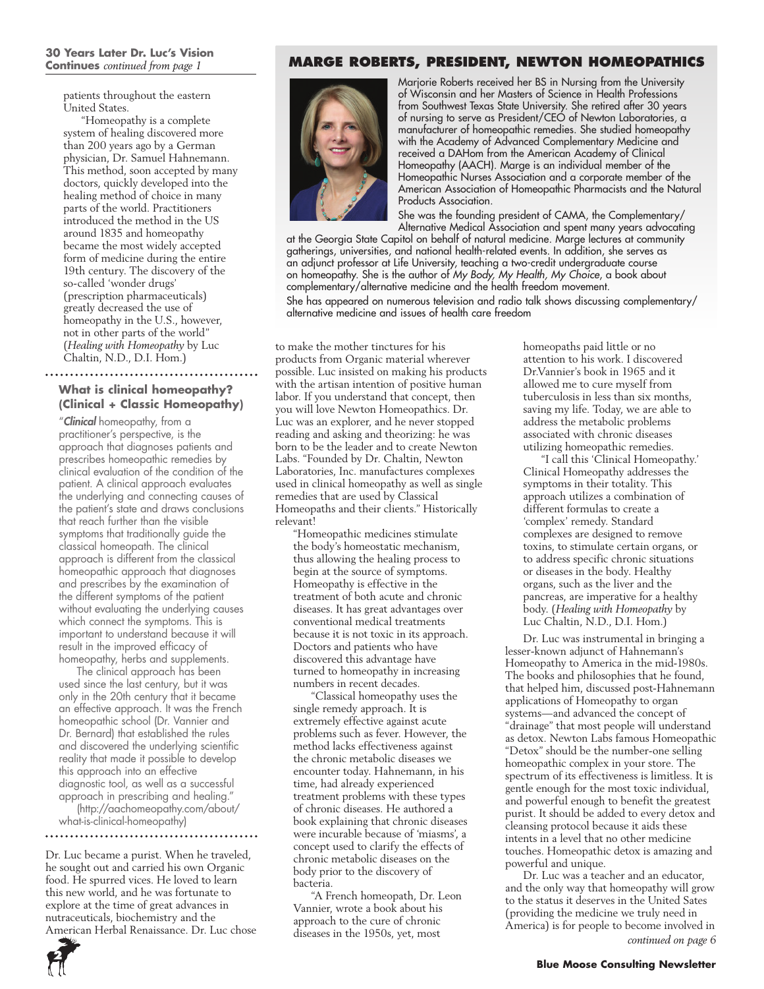#### **30 Years Later Dr. Luc's Vision Continues** *continued from page 1*

patients throughout the eastern United States.

"Homeopathy is a complete system of healing discovered more than 200 years ago by a German physician, Dr. Samuel Hahnemann. This method, soon accepted by many doctors, quickly developed into the healing method of choice in many parts of the world. Practitioners introduced the method in the US around 1835 and homeopathy became the most widely accepted form of medicine during the entire 19th century. The discovery of the so-called 'wonder drugs' (prescription pharmaceuticals) greatly decreased the use of homeopathy in the U.S., however, not in other parts of the world" (*Healing with Homeopathy* by Luc Chaltin, N.D., D.I. Hom.)

# **What is clinical homeopathy? (Clinical + Classic Homeopathy)**

"*Clinical* homeopathy, from a practitioner's perspective, is the approach that diagnoses patients and prescribes homeopathic remedies by clinical evaluation of the condition of the patient. A clinical approach evaluates the underlying and connecting causes of the patient's state and draws conclusions that reach further than the visible symptoms that traditionally guide the classical homeopath. The clinical approach is different from the classical homeopathic approach that diagnoses and prescribes by the examination of the different symptoms of the patient without evaluating the underlying causes which connect the symptoms. This is important to understand because it will result in the improved efficacy of homeopathy, herbs and supplements.

The clinical approach has been used since the last century, but it was only in the 20th century that it became an effective approach. It was the French homeopathic school (Dr. Vannier and Dr. Bernard) that established the rules and discovered the underlying scientific reality that made it possible to develop this approach into an effective diagnostic tool, as well as a successful approach in prescribing and healing."

(http://aachomeopathy.com/about/ what-is-clinical-homeopathy)

#### 

Dr. Luc became a purist. When he traveled, he sought out and carried his own Organic food. He spurred vices. He loved to learn this new world, and he was fortunate to explore at the time of great advances in nutraceuticals, biochemistry and the American Herbal Renaissance. Dr. Luc chose

### **Marge Roberts, President, Newton Homeopathics**



Marjorie Roberts received her BS in Nursing from the University of Wisconsin and her Masters of Science in Health Professions from Southwest Texas State University. She retired after 30 years of nursing to serve as President/CEO of Newton Laboratories, a manufacturer of homeopathic remedies. She studied homeopathy with the Academy of Advanced Complementary Medicine and received a DAHom from the American Academy of Clinical Homeopathy (AACH). Marge is an individual member of the Homeopathic Nurses Association and a corporate member of the American Association of Homeopathic Pharmacists and the Natural Products Association.

She was the founding president of CAMA, the Complementary/ Alternative Medical Association and spent many years advocating

at the Georgia State Capitol on behalf of natural medicine. Marge lectures at community gatherings, universities, and national health-related events. In addition, she serves as an adjunct professor at Life University, teaching a two-credit undergraduate course on homeopathy. She is the author of *My Body, My Health, My Choice*, a book about complementary/alternative medicine and the health freedom movement.

She has appeared on numerous television and radio talk shows discussing complementary/ alternative medicine and issues of health care freedom

to make the mother tinctures for his products from Organic material wherever possible. Luc insisted on making his products with the artisan intention of positive human labor. If you understand that concept, then you will love Newton Homeopathics. Dr. Luc was an explorer, and he never stopped reading and asking and theorizing: he was born to be the leader and to create Newton Labs. "Founded by Dr. Chaltin, Newton Laboratories, Inc. manufactures complexes used in clinical homeopathy as well as single remedies that are used by Classical Homeopaths and their clients." Historically relevant!

"Homeopathic medicines stimulate the body's homeostatic mechanism, thus allowing the healing process to begin at the source of symptoms. Homeopathy is effective in the treatment of both acute and chronic diseases. It has great advantages over conventional medical treatments because it is not toxic in its approach. Doctors and patients who have discovered this advantage have turned to homeopathy in increasing numbers in recent decades.

"Classical homeopathy uses the single remedy approach. It is extremely effective against acute problems such as fever. However, the method lacks effectiveness against the chronic metabolic diseases we encounter today. Hahnemann, in his time, had already experienced treatment problems with these types of chronic diseases. He authored a book explaining that chronic diseases were incurable because of 'miasms', a concept used to clarify the effects of chronic metabolic diseases on the body prior to the discovery of bacteria.

"A French homeopath, Dr. Leon Vannier, wrote a book about his approach to the cure of chronic diseases in the 1950s, yet, most

homeopaths paid little or no attention to his work. I discovered Dr.Vannier's book in 1965 and it allowed me to cure myself from tuberculosis in less than six months, saving my life. Today, we are able to address the metabolic problems associated with chronic diseases utilizing homeopathic remedies.

"I call this 'Clinical Homeopathy.' Clinical Homeopathy addresses the symptoms in their totality. This approach utilizes a combination of different formulas to create a 'complex' remedy. Standard complexes are designed to remove toxins, to stimulate certain organs, or to address specific chronic situations or diseases in the body. Healthy organs, such as the liver and the pancreas, are imperative for a healthy body. (*Healing with Homeopathy* by Luc Chaltin, N.D., D.I. Hom.)

Dr. Luc was instrumental in bringing a lesser-known adjunct of Hahnemann's Homeopathy to America in the mid-1980s. The books and philosophies that he found, that helped him, discussed post-Hahnemann applications of Homeopathy to organ systems—and advanced the concept of "drainage" that most people will understand as detox. Newton Labs famous Homeopathic "Detox" should be the number-one selling homeopathic complex in your store. The spectrum of its effectiveness is limitless. It is gentle enough for the most toxic individual, and powerful enough to benefit the greatest purist. It should be added to every detox and cleansing protocol because it aids these intents in a level that no other medicine touches. Homeopathic detox is amazing and powerful and unique.

Dr. Luc was a teacher and an educator, and the only way that homeopathy will grow to the status it deserves in the United Sates (providing the medicine we truly need in America) is for people to become involved in *continued on page 6*

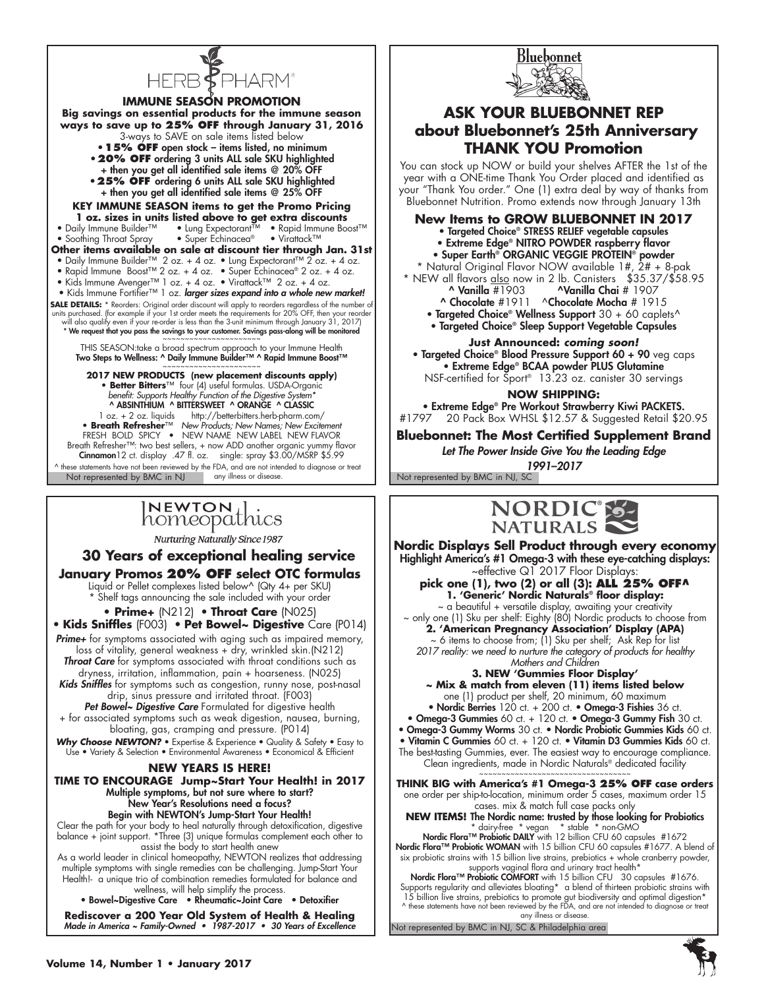

**IMMUNE SEASON PROMOTION Big savings on essential products for the immune season ways to save up to 25% OFF through January 31, 2016** 3-ways to SAVE on sale items listed below **•15% OFF** open stock – items listed, no minimum **•20% OFF** ordering 3 units ALL sale SKU highlighted + then you get all identified sale items @ 20% OFF **•25% OFF** ordering 6 units ALL sale SKU highlighted + then you get all identified sale items @ 25% OFF **KEY IMMUNE SEASON items to get the Promo Pricing 1 oz. sizes in units listed above to get extra discounts**<br>• Daily Immune Builder<sup>TM</sup> • Lung Expectorant<sup>TM</sup> • Rapid Immune Bo • Lung Expectorant™ • Rapid Immune Boost™<br>• Super Echinacea® • Virattack™ • Soothing Throat Spray **Other items available on sale at discount tier through Jan. 31st** • Daily Immune Builder™ 2 oz. + 4 oz. • Lung Expectorant™ 2 oz. + 4 oz. • Rapid Immune Boost™ 2 oz. + 4 oz. • Super Echinacea® 2 oz. + 4 oz. • Kids Immune Avenger™ 1 oz. + 4 oz. • Virattack™ 2 oz. + 4 oz. • Kids Immune Fortifier™ 1 oz. larger sizes expand into a whole new market! **SALE DETAILS:** \* Reorders: Original order discount will apply to reorders regardless of the number of units purchased. (for example if your 1st order meets the requirements for 20% OFF, then your reorder<br>will also qualify even if your re-order is less than the 3-unit minimum through January 31, 2017)<br>\* We request that you THIS SEASON:take a broad spectrum approach to your Immune Health Two Steps to Wellness: ^ Daily Immune Builder™ ^ Rapid Immune Boost™ ~~~~~~~~~~~~~~~~~~~~~~ **2017 NEW PRODUCTS (new placement discounts apply) • Better Bitters**™ four (4) useful formulas. USDA-Organic *benefit: Supports Healthy Function of the Digestive System\** ^ ABSINTHIUM ^ BITTERSWEET ^ ORANGE ^ CLASSIC 1 oz. + 2 oz. liquids http://betterbitters.herb-pharm.com/ **• Breath Refresher**™ *New Products; New Names; New Excitement* FRESH BOLD SPICY • new name new label new flavor Breath Refresher™: two best sellers, + now ADD another organic yummy flavor Cinnamon12 ct. display .47 fl. oz. single: spray \$3.00/MSRP \$5.99

any illness or disease. The state of the Not represented by BMC in NJ, SC ^ these statements have not been reviewed by the FDA, and are not intended to diagnose or treat Not represented by BMC in NJ

# NEWTON<sub>1</sub> homeopathics

**Nurturing Naturally Since 1987** 

**30 Years of exceptional healing service**

**January Promos 20% OFF select OTC formulas** Liquid or Pellet complexes listed below^ (Qty 4+ per SKU) \* Shelf tags announcing the sale included with your order

**• Prime+** (N212) • **Throat Care** (N025) • **Kids Sniffles** (F003) • **Pet Bowel~ Digestive** Care (P014) *Prime+* for symptoms associated with aging such as impaired memory, loss of vitality, general weakness + dry, wrinkled skin.(N212) **Throat Care** for symptoms associated with throat conditions such as dryness, irritation, inflammation, pain + hoarseness. (N025) *Kids Sniffles* for symptoms such as congestion, runny nose, post-nasal drip, sinus pressure and irritated throat. (F003) *Pet Bowel~ Digestive Care* Formulated for digestive health

+ for associated symptoms such as weak digestion, nausea, burning, bloating, gas, cramping and pressure. (P014)

Why Choose NEWTON? • Expertise & Experience • Quality & Safety • Easy to Use • Variety & Selection • Environmental Awareness • Economical & Efficient

#### **NEW YEARS IS HERE!**

**TIME TO ENCOURAGE Jump~Start Your Health! in 2017** Multiple symptoms, but not sure where to start? New Year's Resolutions need a focus? Begin with NEWTON's Jump-Start Your Health!

Clear the path for your body to heal naturally through detoxification, digestive balance + joint support. \*Three (3) unique formulas complement each other to assist the body to start health anew

As a world leader in clinical homeopathy, NEWTON realizes that addressing multiple symptoms with single remedies can be challenging. Jump-Start Your Health!- a unique trio of combination remedies formulated for balance and wellness, will help simplify the process.

• Bowel~Digestive Care • Rheumatic~Joint Care • Detoxifier **Rediscover a 200 Year Old System of Health & Healing** Made in America ~ Family-Owned · 1987-2017 · 30 Years of Excellence



# **ASK YOUR BLUEBONNET REP about Bluebonnet's 25th Anniversary THANK YOU Promotion**

You can stock up NOW or build your shelves AFTER the 1st of the year with a ONE-time Thank You Order placed and identified as your "Thank You order." One (1) extra deal by way of thanks from Bluebonnet Nutrition. Promo extends now through January 13th

- **New Items to GROW BLUEBONNET IN 2017** 
	- Targeted Choice® STRESS RELIEF vegetable capsules
	- Extreme Edge® NITRO POWDER raspberry flavor
	- Super Earth® ORGANIC VEGGIE PROTEIN® powder

\* Natural Original Flavor NOW available 1#, 2# + 8-pak \* NEW all flavors <u>also</u> now in 2 lb. Canisters \$35.37/\$58.95

- ^ Vanilla #1903 ^Vanilla Chai # 1907
- ^ Chocolate #1911 ^Chocolate Mocha # 1915
- Targeted Choice® Wellness Support 30 + 60 caplets^
- Targeted Choice® Sleep Support Vegetable Capsules

**Just Announced:** *coming soon!* • Targeted Choice® Blood Pressure Support 60 + 90 veg caps • Extreme Edge® BCAA powder PLUS Glutamine NSF-certified for Sport® 13.23 oz. canister 30 servings

**NOW SHIPPING:** 

• Extreme Edge® Pre Workout Strawberry Kiwi PACKETS.<br>20 Pack Box WHSL \$12.57 & Suggested Retail \$20 +

20 Pack Box WHSL \$12.57 & Suggested Retail \$20.95

**Bluebonnet: The Most Certified Supplement Brand**

Let The Power Inside Give You the Leading Edge 1991–2017



**Nordic Displays Sell Product through every economy** Highlight America's #1 Omega-3 with these eye-catching displays: ~effective Q1 2017 Floor Displays:

**pick one (1), two (2) or all (3): ALL 25% OFF^ 1. 'Generic' Nordic Naturals® floor display:**

~ a beautiful + versatile display, awaiting your creativity ~ only one (1) Sku per shelf: Eighty (80) Nordic products to choose from **2. 'American Pregnancy Association' Display (APA)** ~ 6 items to choose from; (1) Sku per shelf; Ask Rep for list *2017 reality: we need to nurture the category of products for healthy Mothers and Children*

**3. NEW 'Gummies Floor Display'**

**~ Mix & match from eleven (11) items listed below** one (1) product per shelf, 20 minimum, 60 maximum

• Nordic Berries 120 ct. + 200 ct. • Omega-3 Fishies 36 ct.

• Omega-3 Gummies 60 ct. + 120 ct. • Omega-3 Gummy Fish 30 ct.

• Omega-3 Gummy Worms 30 ct. • Nordic Probiotic Gummies Kids 60 ct.

• Vitamin C Gummies 60 ct. + 120 ct. • Vitamin D3 Gummies Kids 60 ct. The best-tasting Gummies, ever. The easiest way to encourage compliance. Clean ingredients, made in Nordic Naturals® dedicated facility

~~~~~~~~~~~~~~~~~~~~~~~~~~~~~~~~~ **THINK BIG with America's #1 Omega-3 25% OFF case orders** one order per ship-to-location, minimum order 5 cases, maximum order 15 cases. mix & match full case packs only

**NEW ITEMS!** The Nordic name: trusted by those looking for Probiotics \* dairy-free \* vegan \* stable \* non-GMO

Nordic Flora™ Probiotic DAILY with 12 billion CFU 60 capsules #1672 Nordic Flora™ Probiotic WOMAN with 15 billion CFU 60 capsules #1677. A blend of six probiotic strains with 15 billion live strains, prebiotics + whole cranberry powder, supports vaginal flora and urinary tract health\*

Nordic Flora™ Probiotic COMFORT with 15 billion CFU 30 capsules #1676. Supports regularity and alleviates bloating\* a blend of thirteen probiotic strains with 15 billion live strains, prebiotics to promote gut biodiversity and optimal digestion\* ^ these statements have not been reviewed by the FDA, and are not intended to diagnose or treat any illness or disease

Not represented by BMC in NJ, SC & Philadelphia area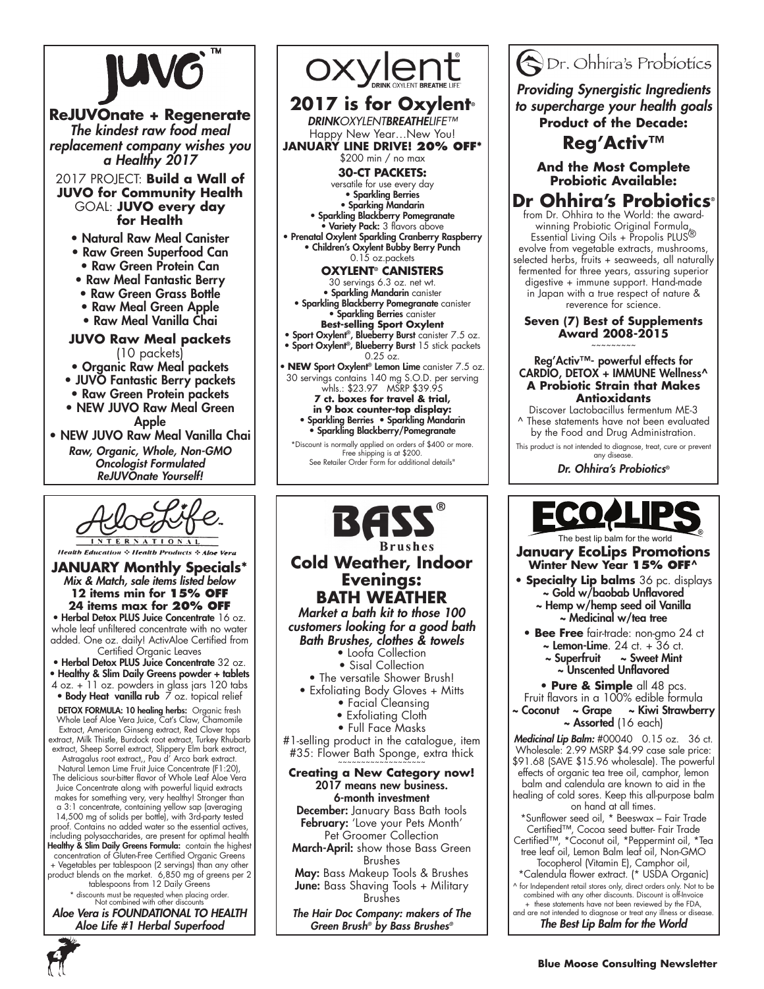

**ReJUVOnate + Regenerate** The kindest raw food meal replacement company wishes you a Healthy 2017 2017 PROJECT: **Build a Wall of JUVO for Community Health**

GOAL: **JUVO every day for Health**

- Natural Raw Meal Canister
- Raw Green Superfood Can • Raw Green Protein Can
- Raw Meal Fantastic Berry
- Raw Green Grass Bottle
- Raw Meal Green Apple
- Raw Meal Vanilla Chai
- **JUVO Raw Meal packets**

(10 packets)

- Organic Raw Meal packets
- JUVO Fantastic Berry packets
- Raw Green Protein packets
- NEW JUVO Raw Meal Green Apple
- NEW JUVO Raw Meal Vanilla Chai *Raw, Organic, Whole, Non-GMO*  Oncologist Formulated ReJUVOnate Yourself!



**Health Education : Health Products : Ale** 

**JANUARY Monthly Specials\*** Mix & Match, sale items listed below **12 items min for 15% off 24 items max for 20% off**

• Herbal Detox PLUS Juice Concentrate 16 oz. whole leaf unfiltered concentrate with no water added. One oz. daily! ActivAloe Certified from Certified Organic Leaves

• Herbal Detox PLUS Juice Concentrate 32 oz. • Healthy & Slim Daily Greens powder + tablets

4 oz. + 11 oz. powders in glass jars 120 tabs • Body Heat vanilla rub 7 oz. topical relief

DETOX FORMULA: 10 healing herbs: Organic fresh Whole Leaf Aloe Vera Juice, Cat's Claw, Chamomile Extract, American Ginseng extract, Red Clover tops

extract, Milk Thistle, Burdock root extract, Turkey Rhubarb extract, Sheep Sorrel extract, Slippery Elm bark extract, Astragalus root extract,, Pau d' Arco bark extract.

Natural Lemon Lime Fruit Juice Concentrate (F1:20), The delicious sour-bitter flavor of Whole Leaf Aloe Vera Juice Concentrate along with powerful liquid extracts makes for something very, very healthy! Stronger than a 3:1 concentrate, containing yellow sap (averaging 14,500 mg of solids per bottle), with 3rd-party tested proof. Contains no added water so the essential actives, including polysaccharides, are present for optimal health Healthy & Slim Daily Greens Formula: contain the highest concentration of Gluten-Free Certified Organic Greens + Vegetables per tablespoon (2 servings) than any other product blends on the market. 6,850 mg of greens per 2 tablespoons from 12 Daily Greens

\* discounts must be requested when placing order. Not combined with other discounts

Aloe Vera is FOUNDATIONAL TO HEALTH Aloe Life #1 Herbal Superfood



• Children's Oxylent Bubby Berry Punch 0.15 oz.packets

**Oxylent® CANISTERS** 

30 servings 6.3 oz. net wt. • Sparkling Mandarin canister • Sparkling Blackberry Pomegranate canister • Sparkling Berries canister

- **Best-selling Sport Oxylent**
- Sport Oxylent®, Blueberry Burst canister 7.5 oz. Sport Oxylent®, Blueberry Burst 15 stick packets  $0.25$  oz.

• **NEW** Sport Oxylent® Lemon Lime canister 7.5 oz. 30 servings contains 140 mg S.O.D. per serving whls.: \$23.97 MSRP \$39.95

**7 ct. boxes for travel & trial, in 9 box counter-top display:** • Sparkling Berries • Sparkling Mandarin • Sparkling Blackberry/Pomegranate

\*Discount is normally applied on orders of \$400 or more. Free shipping is at \$200. See Retailer Order Form for additional details"



March-April: show those Bass Green Brushes

May: Bass Makeup Tools & Brushes **June:** Bass Shaving Tools + Military Brushes

The Hair Doc Company: makers of The Green Brush*®* by Bass Brushes*®*



*Providing Synergistic Ingredients*  to supercharge your health goals **Product of the Decade:**

**Reg'Activ™**

# **And the Most Complete Probiotic Available:**

#### **Dr Ohhira's Probiotics®** from Dr. Ohhira to the World: the award-

winning Probiotic Original Formula, Essential Living Oils + Propolis PLUS® evolve from vegetable extracts, mushrooms, selected herbs, fruits + seaweeds, all naturally fermented for three years, assuring superior digestive + immune support. Hand-made in Japan with a true respect of nature & reverence for science.

**Seven (7) Best of Supplements Award 2008-2015** ~~~~~~~~~

#### Reg'Activ™- powerful effects for CARDIO, DETOX + IMMUNE Wellness^ **A Probiotic Strain that Makes Antioxidants**

Discover Lactobacillus fermentum ME-3 These statements have not been evaluated by the Food and Drug Administration.

This product is not intended to diagnose, treat, cure or prevent any disease.

Dr. Ohhira's Probiotics®



# **January EcoLips Promotions Winter New Year 15% OFF^**

- **Specialty Lip balms** 36 pc. displays ~ Gold w/baobab Unflavored ~ Hemp w/hemp seed oil Vanilla
	- ~ Medicinal w/tea tree
- **Bee Free** fair-trade: non-gmo 24 ct
	- $\sim$  Lemon-Lime. 24 ct. + 36 ct.<br> $\sim$  Superfruit  $\sim$  Sweet Mint
	- $\sim$  Sweet Mint ~ Unscented Unflavored

**• Pure & Simple** all 48 pcs.

- Fruit flavors in a 100% edible formula
- Coconut ~ Grape ~ Kiwi Strawberry ~ Assorted (16 each)

Medicinal Lip Balm: #00040 0.15 oz. 36 ct. Wholesale: 2.99 MSRP \$4.99 case sale price: \$91.68 (SAVE \$15.96 wholesale). The powerful effects of organic tea tree oil, camphor, lemon balm and calendula are known to aid in the healing of cold sores. Keep this all-purpose balm

on hand at all times. \*Sunflower seed oil, \* Beeswax – Fair Trade

Certified™, Cocoa seed butter- Fair Trade Certified™, \*Coconut oil, \*Peppermint oil, \*Tea tree leaf oil, Lemon Balm leaf oil, Non-GMO

Tocopherol (Vitamin E), Camphor oil, \*Calendula flower extract. (\* USDA Organic)

^ for Independent retail stores only, direct orders only. Not to be combined with any other discounts. Discount is off-Invoice + these statements have not been reviewed by the FDA, and are not intended to diagnose or treat any illness or disease

The Best Lip Balm for the World

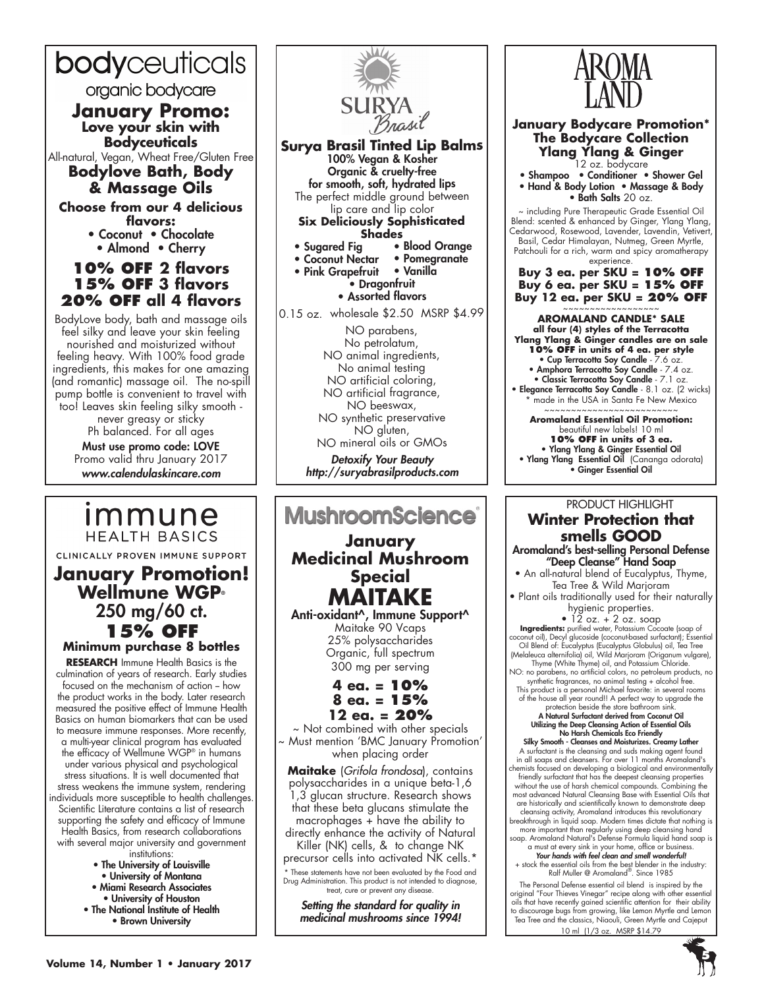# bodyceuticals

organic bodycare

**January Promo: Love your skin with Bodyceuticals** 

All-natural, Vegan, Wheat Free/Gluten Free **Bodylove Bath, Body** 

**& Massage Oils**

**Choose from our 4 delicious flavors:** • Coconut • Chocolate

• Almond • Cherry

# **10% off 2 flavors 15% off 3 flavors 20% off all 4 flavors**

BodyLove body, bath and massage oils feel silky and leave your skin feeling nourished and moisturized without feeling heavy. With 100% food grade ingredients, this makes for one amazing (and romantic) massage oil. The no-spill pump bottle is convenient to travel with too! Leaves skin feeling silky smooth -

never greasy or sticky Ph balanced. For all ages

Must use promo code: LOVE Promo valid thru January 2017 www.calendulaskincare.com

*Immune* 

# **HEALTH BASICS** CLINICALLY PROVEN IMMUNE SUPPORT **January Promotion! Wellmune WGP®** 250 mg/60 ct. **15% off Minimum purchase 8 bottles**

**Research** Immune Health Basics is the culmination of years of research. Early studies focused on the mechanism of action - how the product works in the body. Later research measured the positive effect of Immune Health Basics on human biomarkers that can be used to measure immune responses. More recently, a multi-year clinical program has evaluated the efficacy of Wellmune WGP® in humans under various physical and psychological stress situations. It is well documented that stress weakens the immune system, rendering individuals more susceptible to health challenges. Scientific Literature contains a list of research supporting the safety and efficacy of Immune Health Basics, from research collaborations with several major university and government institutions:

- The University of Louisville • University of Montana • Miami Research Associates
- University of Houston
- The National Institute of Health • Brown University



**Shades**

- Sugared Fig Blood Orange<br>• Coconut Nectar Pomegranate
- Coconut Nectar Pomegranation<br>• Pink Grapefruit Vanilla • Pink Grapefruit
- Dragonfruit

• Assorted flavors

0.15 oz. wholesale \$2.50 MSRP \$4.99

NO parabens, No petrolatum, NO animal ingredients, No animal testing NO artificial coloring, NO artificial fragrance, NO beeswax, NO synthetic preservative NO gluten, NO mineral oils or GMOs Detoxify Your Beauty

http://suryabrasilproducts.com

# **MushroomScience® January Medicinal Mushroom Special MAITAKE** Anti-oxidant^, Immune Support^ Maitake 90 Vcaps

25% polysaccharides Organic, full spectrum 300 mg per serving

# **4 ea. = 10% 8 ea. = 15% 12 ea. = 20%**

~ Not combined with other specials ~ Must mention 'BMC January Promotion' when placing order

**Maitake** (*Grifola frondosa*), contains polysaccharides in a unique beta-1,6 1,3 glucan structure. Research shows that these beta glucans stimulate the macrophages + have the ability to directly enhance the activity of Natural

Killer (NK) cells, & to change NK precursor cells into activated NK cells.'

\* These statements have not been evaluated by the Food and Drug Administration. This product is not intended to diagnose, treat, cure or prevent any disease.

Setting the standard for quality in medicinal mushrooms since 1994!



**January Bodycare Promotion\* The Bodycare Collection Ylang Ylang & Ginger** 12 oz. bodycare

• Shampoo • Conditioner • Shower Gel • Hand & Body Lotion • Massage & Body  $\bullet$  Bath Salts 20 oz.

~ including Pure Therapeutic Grade Essential Oil Blend: scented & enhanced by Ginger, Ylang Ylang, Cedarwood, Rosewood, Lavender, Lavendin, Vetivert, Basil, Cedar Himalayan, Nutmeg, Green Myrtle, Patchouli for a rich, warm and spicy aromatherapy experience.

**Buy 3 ea. per SKU = 10% OFF Buy 6 ea. per SKU = 15% OFF Buy 12 ea. per SKU = 20% OFF**

~~~~~~~~~~~~~~~~~~ **AROMALAND CANDLE\* SALE all four (4) styles of the Terracotta Ylang Ylang & Ginger candles are on sale 10% OFF in units of 4 ea. per style** • Cup Terracotta Soy Candle - 7.6 oz. • Amphora Terracotta Soy Candle - 7.4 oz. • Classic Terracotta Soy Candle - 7.1 oz. • Elegance Terracotta Soy Candle - 8.1 oz. (2 wicks) \* made in the USA in Santa Fe New Mexico ~~~~~~~~~~~~~~~~~~~~~~~~~ **Aromaland Essential Oil Promotion:**  beautiful new labels! 10 ml **10% OFF in units of 3 ea.**

• Ylang Ylang & Ginger Essential Oil • Ylang Ylang Essential Oil (Cananga odorata) • Ginger Essential Oil

# PRODUCT HIGHLIGHT **Winter Protection that smells GOOD**

Aromaland's best-selling Personal Defense "Deep Cleanse" Hand Soap

• An all-natural blend of Eucalyptus, Thyme, Tea Tree & Wild Marjoram

• Plant oils traditionally used for their naturally hygienic properties.

 $\bullet$  12 oz.  $+$  2 oz. soap **Ingredients:** purified water, Potassium Cocoate (soap of coconut oil), Decyl glucoside (coconut-based surfactant); Essential Oil Blend of: Eucalyptus (Eucalyptus Globulus) oil, Tea Tree (Melaleuca alternifolia) oil, Wild Marjoram (Origanum vulgare), Thyme (White Thyme) oil, and Potassium Chloride. NO: no parabens, no artificial colors, no petroleum products, no

synthetic fragrances, no animal testing + alcohol free. This product is a personal Michael favorite: in several rooms of the house all year round!! A perfect way to upgrade the

# protection beside the store bathroom sink. A Natural Surfactant derived from Coconut Oil Utilizing the Deep Cleansing Action of Essential Oils No Harsh Chemicals Eco Friendly Silky Smooth - Cleanses and Moisturizes. Creamy Lather

A surfactant is the cleansing and suds making agent found in all soaps and cleansers. For over 11 months Aromaland's chemists focused on developing a biological and environmentally friendly surfactant that has the deepest cleansing properties without the use of harsh chemical compounds. Combining the most advanced Natural Cleansing Base with Essential Oils that are historically and scientifically known to demonstrate deep cleansing activity, Aromaland introduces this revolutionary breakthrough in liquid soap. Modern times dictate that nothing is more important than regularly using deep cleansing hand soap. Aromaland Natural's Defense Formula liquid hand soap is

a must at every sink in your home, office or business. **Your hands with feel clean and smell wonderful!**<br>+ stock the essential oils from the best blender in the industry:<br>Ralf Muller @ Aromaland<sup>®</sup>. Since 1985

The Personal Defense essential oil blend is inspired by the original "Four Thieves Vinegar" recipe along with other essential oils that have recently gained scientific attention for their ability to discourage bugs from growing, like Lemon Myrtle and Lemon Tea Tree and the classics, Niaouli, Green Myrtle and Cajeput 10 ml (1/3 oz. MSRP \$14.79

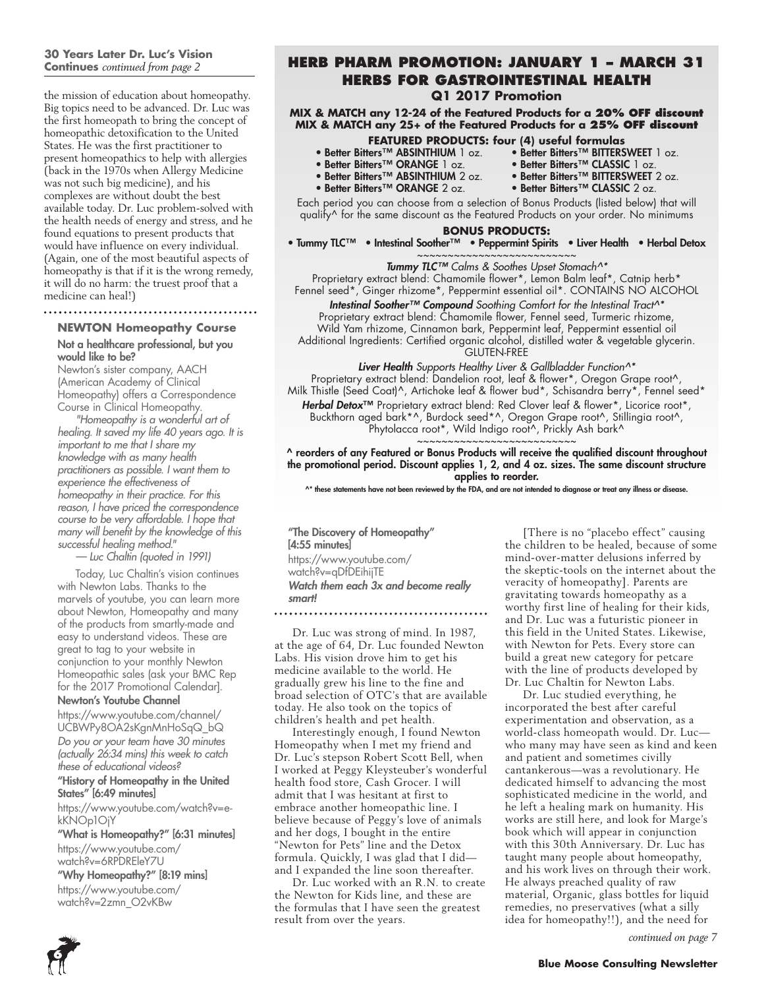# **30 Years Later Dr. Luc's Vision**

the mission of education about homeopathy. Big topics need to be advanced. Dr. Luc was the first homeopath to bring the concept of homeopathic detoxification to the United States. He was the first practitioner to present homeopathics to help with allergies (back in the 1970s when Allergy Medicine was not such big medicine), and his complexes are without doubt the best available today. Dr. Luc problem-solved with the health needs of energy and stress, and he found equations to present products that would have influence on every individual. (Again, one of the most beautiful aspects of homeopathy is that if it is the wrong remedy, it will do no harm: the truest proof that a medicine can heal!)

# 

# **NEWTON Homeopathy Course**

Not a healthcare professional, but you would like to be?

Newton's sister company, AACH (American Academy of Clinical Homeopathy) offers a Correspondence Course in Clinical Homeopathy.

*"Homeopathy is a wonderful art of healing. It saved my life 40 years ago. It is important to me that I share my knowledge with as many health practitioners as possible. I want them to experience the effectiveness of homeopathy in their practice. For this reason, I have priced the correspondence course to be very affordable. I hope that many will benefit by the knowledge of this successful healing method."*

*— Luc Chaltin (quoted in 1991)*

Today, Luc Chaltin's vision continues with Newton Labs. Thanks to the marvels of youtube, you can learn more about Newton, Homeopathy and many of the products from smartly-made and easy to understand videos. These are great to tag to your website in conjunction to your monthly Newton Homeopathic sales (ask your BMC Rep for the 2017 Promotional Calendar].

### Newton's Youtube Channel

https://www.youtube.com/channel/ UCBWPy8OA2sKgnMnHoSqQ\_bQ *Do you or your team have 30 minutes (actually 26:34 mins) this week to catch these of educational videos?*

"History of Homeopathy in the United States" [6:49 minutes]

https://www.youtube.com/watch?v=ekKNOp1OjY

"What is Homeopathy?" [6:31 minutes] https://www.youtube.com/

watch?v=6RPDREleY7U

"Why Homeopathy?" [8:19 mins] https://www.youtube.com/ watch?v=2zmn\_O2vKBw

### **Continues** *continued from page 2* **Herb Pharm Promotion: January 1 – March 31 Herbs for Gastrointestinal Health Q1 2017 Promotion**

**MIX & MATCH any 12-24 of the Featured Products for a 20% OFF discount MIX & MATCH any 25+ of the Featured Products for a 25% OFF discount**

- **FEATURED PRODUCTS: four (4) useful formulas** • Better Bitters™ BITTERSWEET 1 oz.<br>• Better Bitters™ CLASSIC 1 oz.
- 
- Better Bitters™ ABSINTHIUM 1 oz. Better Bitters™ BITTERSWEET 1 oz.<br>• Better Bitters™ ORANGE 1 oz. Better Bitters™ CLASSIC 1 oz.<br>• Better Bitters™ ABSINTHIUM 2 oz. Better Bitters™ BITTERSWEET 2 oz.
- Better Bitters<sup>™</sup> ABSINTHIUM 2 oz. Better Bitters™ BITTERSWEET 2 oz.
	-
- Better Bitters™ ORANGE 2 oz. Better Bitters™ CLASSIC 2 oz.

Each period you can choose from a selection of Bonus Products (listed below) that will qualify^ for the same discount as the Featured Products on your order. No minimums

#### **BONUS PRODUCTS:**

• Tummy TLC™ • Intestinal Soother™ • Peppermint Spirits • Liver Health • Herbal Detox ~~~~~~~~~~~~~~~~~~~~~~~~~

Tummy TLC™ *Calms & Soothes Upset Stomach^\**

Proprietary extract blend: Chamomile flower\*, Lemon Balm leaf\*, Catnip herb\* Fennel seed\*, Ginger rhizome\*, Peppermint essential oil\*. CONTAINS NO ALCOHOL

Intestinal Soother™ Compound *Soothing Comfort for the Intestinal Tract^\** Proprietary extract blend: Chamomile flower, Fennel seed, Turmeric rhizome, Wild Yam rhizome, Cinnamon bark, Peppermint leaf, Peppermint essential oil Additional Ingredients: Certified organic alcohol, distilled water & vegetable glycerin.

GLUTEN-FREE

*Liver Health Supports Healthy Liver & Gallbladder Function^\** Proprietary extract blend: Dandelion root, leaf & flower\*, Oregon Grape root^, Milk Thistle (Seed Coat)^, Artichoke leaf & flower bud\*, Schisandra berry\*, Fennel seed\* Herbal Detox<sup>™</sup> Proprietary extract blend: Red Clover leaf & flower\*, Licorice root\*, Buckthorn aged bark\*^, Burdock seed\*^, Oregon Grape root^, Stillingia root^, Phytolacca root\*, Wild Indigo root^, Prickly Ash bark^

~~~~~~~~~~~~~~~~~~~~~~~~~~ ^ reorders of any Featured or Bonus Products will receive the qualified discount throughout the promotional period. Discount applies 1, 2, and 4 oz. sizes. The same discount structure applies to reorder.

^\* these statements have not been reviewed by the FDA, and are not intended to diagnose or treat any illness or disease.

"The Discovery of Homeopathy" [4:55 minutes] https://www.youtube.com/ watch?v=qDfDEihijTE Watch them each 3x and become really smart!

#### 

Dr. Luc was strong of mind. In 1987, at the age of 64, Dr. Luc founded Newton Labs. His vision drove him to get his medicine available to the world. He gradually grew his line to the fine and broad selection of OTC's that are available today. He also took on the topics of children's health and pet health.

Interestingly enough, I found Newton Homeopathy when I met my friend and Dr. Luc's stepson Robert Scott Bell, when I worked at Peggy Kleysteuber's wonderful health food store, Cash Grocer. I will admit that I was hesitant at first to embrace another homeopathic line. I believe because of Peggy's love of animals and her dogs, I bought in the entire "Newton for Pets" line and the Detox formula. Quickly, I was glad that I did and I expanded the line soon thereafter.

Dr. Luc worked with an R.N. to create the Newton for Kids line, and these are the formulas that I have seen the greatest result from over the years.

[There is no "placebo effect" causing the children to be healed, because of some mind-over-matter delusions inferred by the skeptic-tools on the internet about the veracity of homeopathy]. Parents are gravitating towards homeopathy as a worthy first line of healing for their kids, and Dr. Luc was a futuristic pioneer in this field in the United States. Likewise, with Newton for Pets. Every store can build a great new category for petcare with the line of products developed by Dr. Luc Chaltin for Newton Labs.

Dr. Luc studied everything, he incorporated the best after careful experimentation and observation, as a world-class homeopath would. Dr. Luc who many may have seen as kind and keen and patient and sometimes civilly cantankerous—was a revolutionary. He dedicated himself to advancing the most sophisticated medicine in the world, and he left a healing mark on humanity. His works are still here, and look for Marge's book which will appear in conjunction with this 30th Anniversary. Dr. Luc has taught many people about homeopathy, and his work lives on through their work. He always preached quality of raw material, Organic, glass bottles for liquid remedies, no preservatives (what a silly idea for homeopathy!!), and the need for

*continued on page 7*

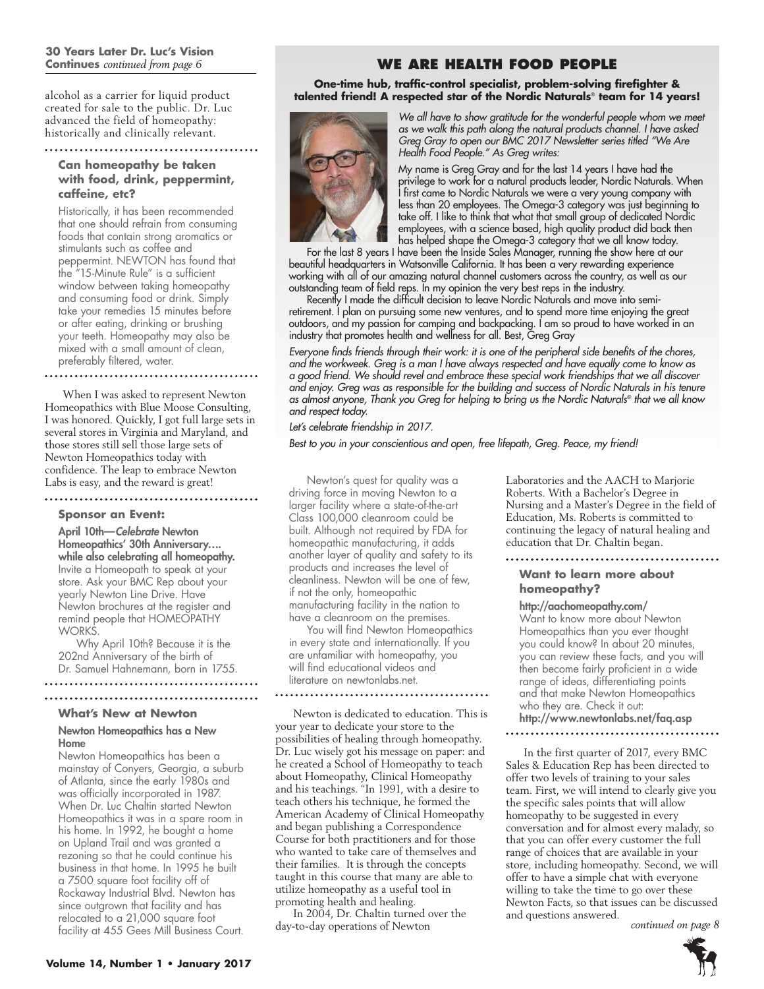#### **30 Years Later Dr. Luc's Vision Continues** *continued from page 6*

alcohol as a carrier for liquid product created for sale to the public. Dr. Luc advanced the field of homeopathy: historically and clinically relevant.

#### 

#### **Can homeopathy be taken with food, drink, peppermint, caffeine, etc?**

Historically, it has been recommended that one should refrain from consuming foods that contain strong aromatics or stimulants such as coffee and peppermint. NEWTON has found that the "15-Minute Rule" is a sufficient window between taking homeopathy and consuming food or drink. Simply take your remedies 15 minutes before or after eating, drinking or brushing your teeth. Homeopathy may also be mixed with a small amount of clean, preferably filtered, water.

When I was asked to represent Newton Homeopathics with Blue Moose Consulting, I was honored. Quickly, I got full large sets in several stores in Virginia and Maryland, and those stores still sell those large sets of Newton Homeopathics today with confidence. The leap to embrace Newton Labs is easy, and the reward is great!

# 

#### **Sponsor an Event:**

April 10th—Celebrate Newton Homeopathics' 30th Anniversary…. while also celebrating all homeopathy. Invite a Homeopath to speak at your store. Ask your BMC Rep about your yearly Newton Line Drive. Have Newton brochures at the register and remind people that HOMEOPATHY WORKS.

Why April 10th? Because it is the 202nd Anniversary of the birth of Dr. Samuel Hahnemann, born in 1755. 

#### **What's New at Newton**

#### Newton Homeopathics has a New Home

Newton Homeopathics has been a mainstay of Conyers, Georgia, a suburb of Atlanta, since the early 1980s and was officially incorporated in 1987. When Dr. Luc Chaltin started Newton Homeopathics it was in a spare room in his home. In 1992, he bought a home on Upland Trail and was granted a rezoning so that he could continue his business in that home. In 1995 he built a 7500 square foot facility off of Rockaway Industrial Blvd. Newton has since outgrown that facility and has relocated to a 21,000 square foot facility at 455 Gees Mill Business Court.

# **WE ARE HEALTH FOOD PEOPLE**

**One-time hub, traffic-control specialist, problem-solving firefighter & talented friend! A respected star of the Nordic Naturals**® **team for 14 years!**



*We all have to show gratitude for the wonderful people whom we meet as we walk this path along the natural products channel. I have asked Greg Gray to open our BMC 2017 Newsletter series titled "We Are Health Food People." As Greg writes:*

My name is Greg Gray and for the last 14 years I have had the privilege to work for a natural products leader, Nordic Naturals. When I first came to Nordic Naturals we were a very young company with less than 20 employees. The Omega-3 category was just beginning to take off. I like to think that what that small group of dedicated Nordic employees, with a science based, high quality product did back then has helped shape the Omega-3 category that we all know today.

For the last 8 years I have been the Inside Sales Manager, running the show here at our beautiful headquarters in Watsonville California. It has been a very rewarding experience working with all of our amazing natural channel customers across the country, as well as our outstanding team of field reps. In my opinion the very best reps in the industry.

Recently I made the difficult decision to leave Nordic Naturals and move into semiretirement. I plan on pursuing some new ventures, and to spend more time enjoying the great outdoors, and my passion for camping and backpacking. I am so proud to have worked in an industry that promotes health and wellness for all. Best, Greg Gray

*Everyone finds friends through their work: it is one of the peripheral side benefits of the chores, and the workweek. Greg is a man I have always respected and have equally come to know as a good friend. We should revel and embrace these special work friendships that we all discover and enjoy. Greg was as responsible for the building and success of Nordic Naturals in his tenure as almost anyone, Thank you Greg for helping to bring us the Nordic Naturals® that we all know and respect today.*

*Let's celebrate friendship in 2017.*

*Best to you in your conscientious and open, free lifepath, Greg. Peace, my friend!*

Newton's quest for quality was a driving force in moving Newton to a larger facility where a state-of-the-art Class 100,000 cleanroom could be built. Although not required by FDA for homeopathic manufacturing, it adds another layer of quality and safety to its products and increases the level of cleanliness. Newton will be one of few, if not the only, homeopathic manufacturing facility in the nation to have a cleanroom on the premises.

You will find Newton Homeopathics in every state and internationally. If you are unfamiliar with homeopathy, you will find educational videos and literature on newtonlabs.net.

Newton is dedicated to education. This is your year to dedicate your store to the possibilities of healing through homeopathy. Dr. Luc wisely got his message on paper: and he created a School of Homeopathy to teach about Homeopathy, Clinical Homeopathy and his teachings. "In 1991, with a desire to teach others his technique, he formed the American Academy of Clinical Homeopathy and began publishing a Correspondence Course for both practitioners and for those who wanted to take care of themselves and their families. It is through the concepts taught in this course that many are able to utilize homeopathy as a useful tool in promoting health and healing.

In 2004, Dr. Chaltin turned over the day-to-day operations of Newton

Laboratories and the AACH to Marjorie Roberts. With a Bachelor's Degree in Nursing and a Master's Degree in the field of Education, Ms. Roberts is committed to continuing the legacy of natural healing and education that Dr. Chaltin began.

# **Want to learn more about homeopathy?**

#### http://aachomeopathy.com/

Want to know more about Newton Homeopathics than you ever thought you could know? In about 20 minutes, you can review these facts, and you will then become fairly proficient in a wide range of ideas, differentiating points and that make Newton Homeopathics who they are. Check it out: http://www.newtonlabs.net/faq.asp

#### 

In the first quarter of 2017, every BMC Sales & Education Rep has been directed to offer two levels of training to your sales team. First, we will intend to clearly give you the specific sales points that will allow homeopathy to be suggested in every conversation and for almost every malady, so that you can offer every customer the full range of choices that are available in your store, including homeopathy. Second, we will offer to have a simple chat with everyone willing to take the time to go over these Newton Facts, so that issues can be discussed and questions answered.

*continued on page 8*